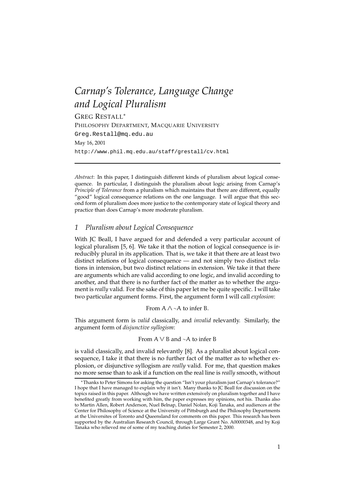# *Carnap's Tolerance, Language Change and Logical Pluralism*

GREG RESTALL ∗

PHILOSOPHY DEPARTMENT, MACQUARIE UNIVERSITY

Greg.Restall@mq.edu.au May 16, 2001

http://www.phil.mq.edu.au/staff/grestall/cv.html

*Abstract*: In this paper, I distinguish different kinds of pluralism about logical consequence. In particular, I distinguish the pluralism about logic arising from Carnap's *Principle of Tolerance* from a pluralism which maintains that there are different, equally "good" logical consequence relations on the one language. I will argue that this second form of pluralism does more justice to the contemporary state of logical theory and practice than does Carnap's more moderate pluralism.

# *1 Pluralism about Logical Consequence*

With JC Beall, I have argued for and defended a very particular account of logical pluralism [5, 6]. We take it that the notion of logical consequence is irreducibly plural in its application. That is, we take it that there are at least two distinct relations of logical consequence — and not simply two distinct relations in intension, but two distinct relations in extension. We take it that there are arguments which are valid according to one logic, and invalid according to another, and that there is no further fact of the matter as to whether the argument is *really* valid. For the sake of this paper let me be quite specific. I will take two particular argument forms. First, the argument form I will call *explosion*:

#### From A  $\land \sim A$  to infer B.

This argument form is *valid* classically, and *invalid* relevantly. Similarly, the argument form of *disjunctive syllogism*:

## From A ∨ B and ∼A to infer B

is valid classically, and invalid relevantly [8]. As a pluralist about logical consequence, I take it that there is no further fact of the matter as to whether explosion, or disjunctive syllogism are *really* valid. For me, that question makes no more sense than to ask if a function on the real line is *really* smooth, without

<sup>∗</sup>Thanks to Peter Simons for asking the question "Isn't your pluralism just Carnap's tolerance?" I hope that I have managed to explain why it isn't. Many thanks to JC Beall for discussion on the topics raised in this paper. Although we have written extensively on pluralism together and I have benefited greatly from working with him, the paper expresses my opinions, not his. Thanks also to Martin Allen, Robert Anderson, Nuel Belnap, Daniel Nolan, Koji Tanaka, and audiences at the Center for Philosophy of Science at the University of Pittsburgh and the Philosophy Departments at the Universites of Toronto and Queensland for comments on this paper. This research has been supported by the Australian Research Council, through Large Grant No. A00000348, and by Koji Tanaka who relieved me of some of my teaching duties for Semester 2, 2000.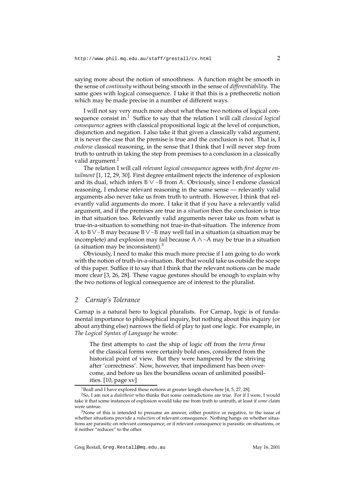saying more about the notion of smoothness. A function might be smooth in the sense of *continuity* without being smooth in the sense of *differentiability*. The same goes with logical consequence. I take it that this is a pretheoretic notion which may be made precise in a number of different ways.

I will not say very much more about what these two notions of logical consequence consist in.<sup>1</sup> Suffice to say that the relation I will call *classical logical consequence* agrees with classical propositional logic at the level of conjunction, disjunction and negation. I also take it that given a classically valid argument, it is never the case that the premise is true and the conclusion is not. That is, I *endorse* classical reasoning, in the sense that I think that I will never step from truth to untruth in taking the step from premises to a conclusion in a classically valid argument.<sup>2</sup>

The relation I will call *relevant logical consequence* agrees with *first degree entailment* [1, 12, 29, 30]. First degree entailment rejects the inference of explosion and its dual, which infers B ∨ ∼B from A. Obviously, since I endorse classical reasoning, I endorse relevant reasoning in the same sense — relevantly valid arguments also never take us from truth to untruth. However, I think that relevantly valid arguments do more. I take it that if you have a relevantly valid argument, and if the premises are true in a *situation* then the conclusion is true in that situation too. Relevantly valid arguments never take us from what is true-in-a-situation to something not true-in-that-situation. The inference from A to B∨∼B may because B∨∼B may well fail in a situation (a situation may be incomplete) and explosion may fail because A  $\wedge \neg A$  may be true in a situation (a situation may be inconsistent). $3$ 

Obviously, I need to make this much more precise if I am going to do work with the notion of truth-in-a-situation. But that would take us outside the scope of this paper. Suffice it to say that I think that the relevant notions can be made more clear [3, 26, 28]. These vague gestures should be enough to explain why the two notions of logical consequence are of interest to the pluralist.

## *2 Carnap's Tolerance*

Carnap is a natural hero to logical pluralists. For Carnap, logic is of fundamental importance to philosophical inquiry, but nothing about this inquiry (or about anything else) narrows the field of play to just one logic. For example, in *The Logical Syntax of Language* he wrote:

The first attempts to cast the ship of logic off from the *terra firma* of the classical forms were certainly bold ones, considered from the historical point of view. But they were hampered by the striving after 'correctness'. Now, however, that impediment has been overcome, and before us lies the boundless ocean of unlimited possibilities. [10, page xv]

<sup>&</sup>lt;sup>1</sup>Beall and I have explored these notions at greater length elsewhere [4, 5, 27, 28].

<sup>2</sup>So, I am not a *dialetheist* who thinks that some contradictions are true. For if I were, I would take it that some instances of explosion would take me from truth to untruth, at least if *some* claim were untrue.

<sup>3</sup>None of this is intended to presume an answer, either positive or negative, to the issue of whether situations provide a *reduction* of relevant consequence. Nothing hangs on whether situations are parasitic on relevant consequence, or if relevant consequence is parasitic on situations, or if neither "reduces" to the other.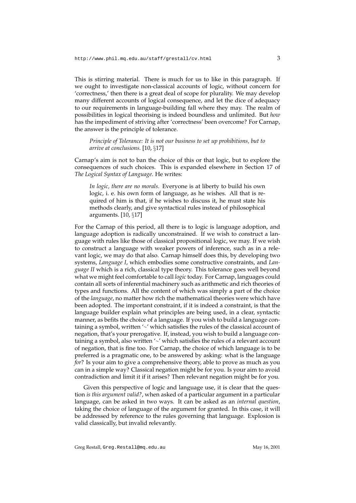This is stirring material. There is much for us to like in this paragraph. If we ought to investigate non-classical accounts of logic, without concern for 'correctness,' then there is a great deal of scope for plurality. We may develop many different accounts of logical consequence, and let the dice of adequacy to our requirements in language-building fall where they may. The realm of possibilities in logical theorising is indeed boundless and unlimited. But *how* has the impediment of striving after 'correctness' been overcome? For Carnap, the answer is the principle of tolerance.

*Principle of Tolerance: It is not our business to set up prohibitions, but to arrive at conclusions.* [10, §17]

Carnap's aim is not to ban the choice of this or that logic, but to explore the consequences of such choices. This is expanded elsewhere in Section 17 of *The Logical Syntax of Language*. He writes:

*In logic, there are no morals*. Everyone is at liberty to build his own logic, i. e. his own form of language, as he wishes. All that is required of him is that, if he wishes to discuss it, he must state his methods clearly, and give syntactical rules instead of philosophical arguments. [10, §17]

For the Carnap of this period, all there is to logic is language adoption, and language adoption is radically unconstrained. If we wish to construct a language with rules like those of classical propositional logic, we may. If we wish to construct a language with weaker powers of inference, such as in a relevant logic, we may do that also. Carnap himself does this, by developing two systems, *Language I*, which embodies some constructive constraints, and *Language II* which is a rich, classical type theory. This tolerance goes well beyond what we might feel comfortable to call *logic* today. For Carnap, languages could contain all sorts of inferential machinery such as arithmetic and rich theories of types and functions. All the content of which was simply a part of the choice of the *language*, no matter how rich the mathematical theories were which have been adopted. The important constraint, if it is indeed a constraint, is that the language builder explain what principles are being used, in a clear, syntactic manner, as befits the choice of a language. If you wish to build a language containing a symbol, written '∼' which satisfies the rules of the classical account of negation, that's your prerogative. If, instead, you wish to build a language containing a symbol, also written '∼' which satisfies the rules of a relevant account of negation, that is fine too. For Carnap, the choice of which language is to be preferred is a pragmatic one, to be answered by asking: what is the language *for*? Is your aim to give a comprehensive theory, able to prove as much as you can in a simple way? Classical negation might be for you. Is your aim to avoid contradiction and limit it if it arises? Then relevant negation might be for you.

Given this perspective of logic and language use, it is clear that the question *is this argument valid?*, when asked of a particular argument in a particular language, can be asked in two ways. It can be asked as an *internal question*, taking the choice of language of the argument for granted. In this case, it will be addressed by reference to the rules governing that language. Explosion is valid classically, but invalid relevantly.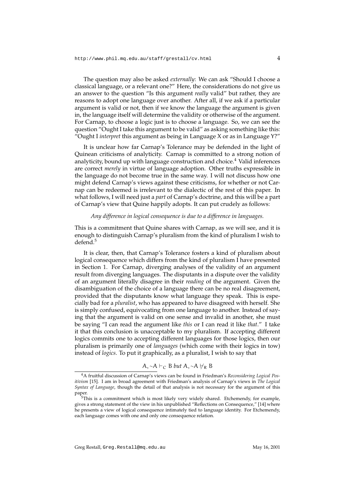The question may also be asked *externally*: We can ask "Should I choose a classical language, or a relevant one?" Here, the considerations do not give us an answer to the question "Is this argument *really* valid" but rather, they are reasons to adopt one language over another. After all, if we ask if a particular argument is valid or not, then if we know the language the argument is given in, the language itself will determine the validity or otherwise of the argument. For Carnap, to choose a logic just is to choose a language. So, we can see the question "Ought I take this argument to be valid" as asking something like this: "Ought I *interpret* this argument as being in Language X or as in Language Y?"

It is unclear how far Carnap's Tolerance may be defended in the light of Quinean criticisms of analyticity. Carnap is committed to a strong notion of analyticity, bound up with language construction and choice.<sup>4</sup> Valid inferences are correct *merely* in virtue of language adoption. Other truths expressible in the language do not become true in the same way. I will not discuss how one might defend Carnap's views against these criticisms, for whether or not Carnap can be redeemed is irrelevant to the dialectic of the rest of this paper. In what follows, I will need just a *part* of Carnap's doctrine, and this will be a part of Carnap's view that Quine happily adopts. It can put crudely as follows:

### *Any difference in logical consequence is due to a difference in languages.*

This is a commitment that Quine shares with Carnap, as we will see, and it is enough to distinguish Carnap's pluralism from the kind of pluralism I wish to  $defend<sub>5</sub>$ 

It is clear, then, that Carnap's Tolerance fosters a kind of pluralism about logical consequence which differs from the kind of pluralism I have presented in Section 1. For Carnap, diverging analyses of the validity of an argument result from diverging languages. The disputants in a dispute over the validity of an argument literally disagree in their *reading* of the argument. Given the disambiguation of the choice of a language there can be no real disagreement, provided that the disputants know what language they speak. This is especially bad for a *pluralist*, who has appeared to have disagreed with herself. She is simply confused, equivocating from one language to another. Instead of saying that the argument is valid on one sense and invalid in another, she must be saying "I can read the argument like *this* or I can read it like *that*." I take it that this conclusion is unacceptable to my pluralism. If accepting different logics commits one to accepting different languages for those logics, then our pluralism is primarily one of *languages* (which come with their logics in tow) instead of *logics*. To put it graphically, as a pluralist, I wish to say that

$$
A, \sim A \vdash_C B \text{ but } A, \sim A \not\vdash_R B
$$

<sup>4</sup>A fruitful discussion of Carnap's views can be found in Friedman's *Reconsidering Logical Positivism* [15]. I am in broad agreement with Friedman's analysis of Carnap's views in *The Logical Syntax of Language*, though the detail of that analysis is not necessary for the argument of this paper.

 $5$ This is a commitment which is most likely very widely shared. Etchemendy, for example, gives a strong statement of the view in his unpublished "Reflections on Consequence," [14] where he presents a view of logical consequence intimately tied to language identity. For Etchemendy, each language comes with one and only one consequence relation.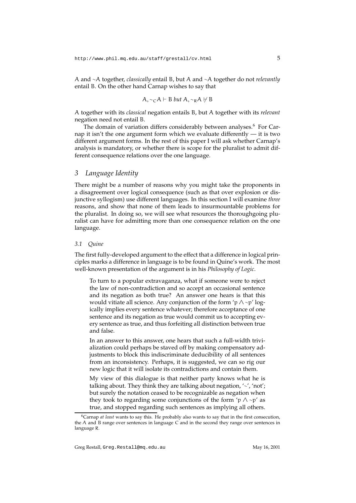A and ∼A together, *classically* entail B, but A and ∼A together do not *relevantly* entail B. On the other hand Carnap wishes to say that

$$
A, \sim_C A \vdash B \text{ but } A, \sim_R A \not\vdash B
$$

A together with its *classical* negation entails B, but A together with its *relevant* negation need not entail B.

The domain of variation differs considerably between analyses.<sup>6</sup> For Carnap it isn't the one argument form which we evaluate differently  $-$  it is two different argument forms. In the rest of this paper I will ask whether Carnap's analysis is mandatory, or whether there is scope for the pluralist to admit different consequence relations over the one language.

# *3 Language Identity*

There might be a number of reasons why you might take the proponents in a disagreement over logical consequence (such as that over explosion or disjunctive syllogism) use different languages. In this section I will examine *three* reasons, and show that none of them leads to insurmountable problems for the pluralist. In doing so, we will see what resources the thoroughgoing pluralist can have for admitting more than one consequence relation on the one language.

## *3.1 Quine*

The first fully-developed argument to the effect that a difference in logical principles marks a difference in language is to be found in Quine's work. The most well-known presentation of the argument is in his *Philosophy of Logic*.

To turn to a popular extravaganza, what if someone were to reject the law of non-contradiction and so accept an occasional sentence and its negation as both true? An answer one hears is that this would vitiate all science. Any conjunction of the form 'p ∧ ∼p' logically implies every sentence whatever; therefore acceptance of one sentence and its negation as true would commit us to accepting every sentence as true, and thus forfeiting all distinction between true and false.

In an answer to this answer, one hears that such a full-width trivialization could perhaps be staved off by making compensatory adjustments to block this indiscriminate deducibility of all sentences from an inconsistency. Perhaps, it is suggested, we can so rig our new logic that it will isolate its contradictions and contain them.

My view of this dialogue is that neither party knows what he is talking about. They think they are talking about negation, '∼', 'not'; but surely the notation ceased to be recognizable as negation when they took to regarding some conjunctions of the form 'p  $\wedge \neg p'$  as true, and stopped regarding such sentences as implying all others.

<sup>6</sup>Carnap *at least* wants to say this. He probably also wants to say that in the first consecution, the A and B range over sentences in language C and in the second they range over sentences in language R.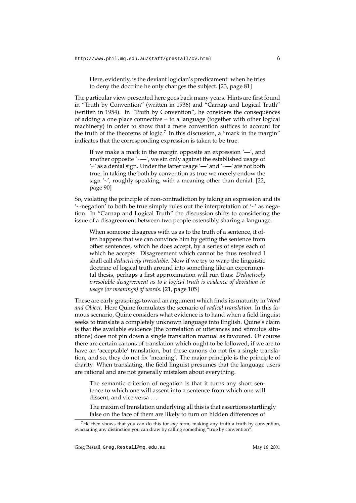Here, evidently, is the deviant logician's predicament: when he tries to deny the doctrine he only changes the subject. [23, page 81]

The particular view presented here goes back many years. Hints are first found in "Truth by Convention" (written in 1936) and "Carnap and Logical Truth" (written in 1954). In "Truth by Convention", he considers the consequences of adding a one place connective ∼ to a language (together with other logical machinery) in order to show that a mere convention suffices to account for the truth of the theorems of logic.<sup>7</sup> In this discussion, a "mark in the margin" indicates that the corresponding expression is taken to be true.

If we make a mark in the margin opposite an expression  $\frac{1}{1}$ , and another opposite '∼—', we sin only against the established usage of '∼' as a denial sign. Under the latter usage '—' and '∼—' are not both true; in taking the both by convention as true we merely endow the sign '∼', roughly speaking, with a meaning other than denial. [22, page 90]

So, violating the principle of non-contradiction by taking an expression and its '∼-negation' to both be true simply rules out the interpretation of '∼' as negation. In "Carnap and Logical Truth" the discussion shifts to considering the issue of a disagreement between two people ostensibly sharing a language.

When someone disagrees with us as to the truth of a sentence, it often happens that we can convince him by getting the sentence from other sentences, which he does accept, by a series of steps each of which he accepts. Disagreement which cannot be thus resolved I shall call *deductively irresoluble*. Now if we try to warp the linguistic doctrine of logical truth around into something like an experimental thesis, perhaps a first approximation will run thus: *Deductively irresoluble disagreement as to a logical truth is evidence of deviation in usage (or meanings) of words.* [21, page 105]

These are early graspings toward an argument which finds its maturity in *Word and Object*. Here Quine formulates the scenario of *radical translation*. In this famous scenario, Quine considers what evidence is to hand when a field linguist seeks to translate a completely unknown language into English. Quine's claim is that the available evidence (the correlation of utterances and stimulus situations) does not pin down a single translation manual as favoured. Of course there are certain canons of translation which ought to be followed, if we are to have an 'acceptable' translation, but these canons do not fix a single translation, and so, they do not fix 'meaning'. The major principle is the principle of charity. When translating, the field linguist presumes that the language users are rational and are not generally mistaken about everything.

The semantic criterion of negation is that it turns any short sentence to which one will assent into a sentence from which one will dissent, and vice versa...

The maxim of translation underlying all this is that assertions startlingly false on the face of them are likely to turn on hidden differences of

<sup>7</sup>He then shows that you can do this for *any* term, making any truth a truth by convention, evacuating any distinction you can draw by calling something "true by convention".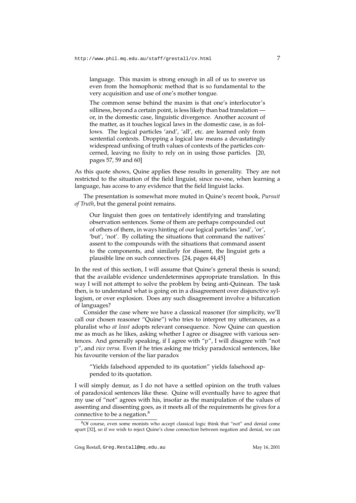language. This maxim is strong enough in all of us to swerve us even from the homophonic method that is so fundamental to the very acquisition and use of one's mother tongue.

The common sense behind the maxim is that one's interlocutor's silliness, beyond a certain point, is less likely than bad translation or, in the domestic case, linguistic divergence. Another account of the matter, as it touches logical laws in the domestic case, is as follows. The logical particles 'and', 'all', etc. are learned only from sentential contexts. Dropping a logical law means a devastatingly widespread unfixing of truth values of contexts of the particles concerned, leaving no fixity to rely on in using those particles. [20, pages 57, 59 and 60]

As this quote shows, Quine applies these results in generality. They are not restricted to the situation of the field linguist, since no-one, when learning a language, has access to any evidence that the field linguist lacks.

The presentation is somewhat more muted in Quine's recent book, *Pursuit of Truth*, but the general point remains.

Our linguist then goes on tentatively identifying and translating observation sentences. Some of them are perhaps compounded out of others of them, in ways hinting of our logical particles 'and', 'or', 'but', 'not'. By collating the situations that command the natives' assent to the compounds with the situations that command assent to the components, and similarly for dissent, the linguist gets a plausible line on such connectives. [24, pages 44,45]

In the rest of this section, I will assume that Quine's general thesis is sound; that the available evidence underdetermines appropriate translation. In this way I will not attempt to solve the problem by being anti-Quinean. The task then, is to understand what is going on in a disagreement over disjunctive syllogism, or over explosion. Does any such disagreement involve a bifurcation of languages?

Consider the case where we have a classical reasoner (for simplicity, we'll call our chosen reasoner "Quine") who tries to interpret my utterances, as a pluralist who *at least* adopts relevant consequence. Now Quine can question me as much as he likes, asking whether I agree or disagree with various sentences. And generally speaking, if I agree with "p", I will disagree with "not p", and *vice versa*. Even if he tries asking me tricky paradoxical sentences, like his favourite version of the liar paradox

"Yields falsehood appended to its quotation" yields falsehood appended to its quotation.

I will simply demur, as I do not have a settled opinion on the truth values of paradoxical sentences like these. Quine will eventually have to agree that my use of "not" agrees with his, insofar as the manipulation of the values of assenting and dissenting goes, as it meets all of the requirements he gives for a connective to be a negation.<sup>8</sup>

<sup>8</sup>Of course, even some monists who accept classical logic think that "not" and denial come apart [32], so if we wish to reject Quine's close connection between negation and denial, we can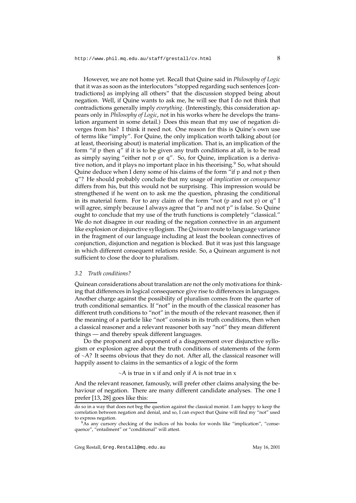However, we are not home yet. Recall that Quine said in *Philosophy of Logic* that it was as soon as the interlocutors "stopped regarding such sentences [contradictions] as implying all others" that the discussion stopped being about negation. Well, if Quine wants to ask me, he will see that I do not think that contradictions generally imply *everything*. (Interestingly, this consideration appears only in *Philosophy of Logic*, not in his works where he develops the translation argument in some detail.) Does this mean that my use of negation diverges from his? I think it need not. One reason for this is Quine's own use of terms like "imply". For Quine, the only implication worth talking about (or at least, theorising about) is material implication. That is, an implication of the form "if p then q" if it is to be given any truth conditions at all, is to be read as simply saying "either not p or q". So, for Quine, implication is a derivative notion, and it plays no important place in his theorising.<sup>9</sup> So, what should Quine deduce when I deny some of his claims of the form "if p and not p then q"? He should probably conclude that my usage of *implication* or *consequence* differs from his, but this would not be surprising. This impression would be strengthened if he went on to ask me the question, phrasing the conditional in its material form. For to any claim of the form "not (p and not p) or q" I will agree, simply because I always agree that "p and not p" is false. So Quine ought to conclude that my use of the truth functions is completely "classical." We do not disagree in our reading of the negation connective in an argument like explosion or disjunctive syllogism. The *Quinean* route to language variance in the fragment of our language including at least the boolean connectives of conjunction, disjunction and negation is blocked. But it was just this language in which different consequent relations reside. So, a Quinean argument is not sufficient to close the door to pluralism.

#### *3.2 Truth conditions?*

Quinean considerations about translation are not the only motivations for thinking that differences in logical consequence give rise to differences in languages. Another charge against the possibility of pluralism comes from the quarter of truth conditional semantics. If "not" in the mouth of the classical reasoner has different truth conditions to "not" in the mouth of the relevant reasoner, then if the meaning of a particle like "not" consists in its truth conditions, then when a classical reasoner and a relevant reasoner both say "not" they mean different things — and thereby speak different languages.

Do the proponent and opponent of a disagreement over disjunctive syllogism or explosion agree about the truth conditions of statements of the form of ∼A? It seems obvious that they do not. After all, the classical reasoner will happily assent to claims in the semantics of a logic of the form

#### $\sim$ A is true in x if and only if A is not true in x

And the relevant reasoner, famously, will prefer other claims analysing the behaviour of negation. There are many different candidate analyses. The one I prefer [13, 28] goes like this:

do so in a way that does not beg the question against the classical monist. I am happy to keep the correlation between negation and denial, and so, I can expect that Quine will find my "not" used to express negation.

<sup>&</sup>lt;sup>9</sup>As any cursory checking of the indices of his books for words like "implication", "consequence", "entailment" or "conditional" will attest.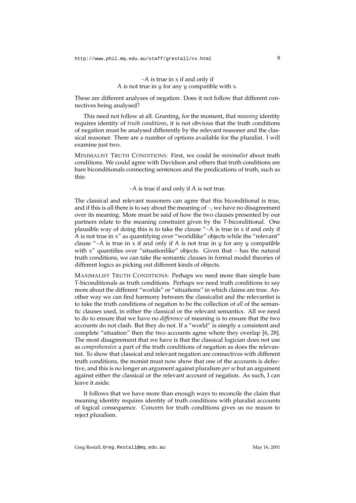# ∼A is true in x if and only if A is not true in  $y$  for any  $y$  compatible with  $x$ .

These are different analyses of negation. Does it not follow that different connectives being analysed?

This need not follow at all. Granting, for the moment, that *meaning* identity requires identity of *truth conditions*, it is not obvious that the truth conditions of negation must be analysed differently by the relevant reasoner and the classical reasoner. There are a number of options available for the pluralist. I will examine just two.

MINIMALIST TRUTH CONDITIONS: First, we could be *minimalist* about truth conditions. We could agree with Davidson and others that truth conditions are bare biconditionals connecting sentences and the predications of truth, such as this:

#### ∼A is true if and only if A is not true.

The classical and relevant reasoners can agree that this biconditional is true, and if this is all there is to say about the meaning of ∼, we have no disagreement over its meaning. More must be said of how the two clauses presented by our partners relate to the meaning constraint given by the T-biconditional. One plausible way of doing this is to take the clause "∼A is true in x if and only if A is not true in x" as quantifying over "worldlike" objects while the "relevant" clause "∼A is true in x if and only if A is not true in y for any y compatible with x" quantifies over "situationlike" objects. Given that ∼ has the natural truth conditions, we can take the semantic clauses in formal model theories of different logics as picking out different kinds of objects.

MAXIMALIST TRUTH CONDITIONS: Perhaps we need more than simple bare T-biconditionals as truth conditions. Perhaps we need truth conditions to say more about the different "worlds" or "situations" in which claims are true. Another way we can find harmony between the classicalist and the relevantist is to take the truth conditions of negation to be the collection of *all* of the semantic clauses used, in either the classical or the relevant semantics. All we need to do to ensure that we have no *difference* of meaning is to ensure that the two accounts do not clash. But they do not. If a "world" is simply a consistent and complete "situation" then the two accounts agree where they overlap [6, 28]. The most disagreement that we have is that the classical logician does not use as *comprehensive* a part of the truth conditions of negation as does the relevantist. To show that classical and relevant negation are connectives with different truth conditions, the monist must now show that one of the accounts is defective, and this is no longer an argument against pluralism *per se* but an argument against either the classical or the relevant account of negation. As such, I can leave it aside.

It follows that we have more than enough ways to reconcile the claim that meaning identity requires identity of truth conditions with pluralist accounts of logical consequence. Concern for truth conditions gives us no reason to reject pluralism.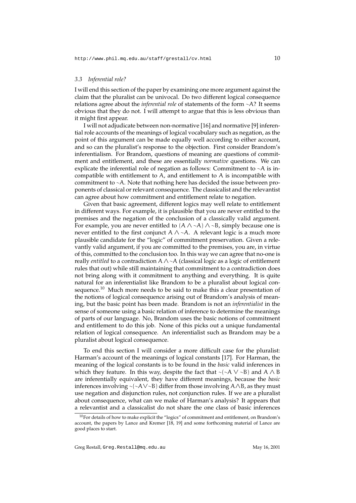#### *3.3 Inferential role?*

I will end this section of the paper by examining one more argument against the claim that the pluralist can be univocal. Do two different logical consequence relations agree about the *inferential role* of statements of the form ∼A? It seems obvious that they do not. I will attempt to argue that this is less obvious than it might first appear.

I will not adjudicate between non-normative [16] and normative [9] inferential role accounts of the meanings of logical vocabulary such as negation, as the point of this argument can be made equally well according to either account, and so can the pluralist's response to the objection. First consider Brandom's inferentialism. For Brandom, questions of meaning are questions of commitment and entitlement, and these are essentially *normative* questions. We can explicate the inferential role of negation as follows: Commitment to ∼A is incompatible with entitlement to A, and entitlement to A is incompatible with commitment to ∼A. Note that nothing here has decided the issue between proponents of classical or relevant consequence. The classicalist and the relevantist can agree about how commitment and entitlement relate to negation.

Given that basic agreement, different logics may well relate to entitlement in different ways. For example, it is plausible that you are never entitled to the premises and the negation of the conclusion of a classically valid argument. For example, you are never entitled to  $(A \land \neg A) \land \neg B$ , simply because one is never entitled to the first conjunct A  $\wedge \neg A$ . A relevant logic is a much more plausible candidate for the "logic" of commitment preservation. Given a relevantly valid argument, if you are committed to the premises, you are, in virtue of this, committed to the conclusion too. In this way we can agree that no-one is really *entitled* to a contradiction A ∧ ∼A (classical logic as a logic of entitlement rules that out) while still maintaining that commitment to a contradiction does not bring along with it commitment to anything and everything. It is quite natural for an inferentialist like Brandom to be a pluralist about logical consequence.<sup>10</sup> Much more needs to be said to make this a clear presentation of the notions of logical consequence arising out of Brandom's analysis of meaning, but the basic point has been made. Brandom is not an *inferentialist* in the sense of someone using a basic relation of inference to determine the meanings of parts of our language. No, Brandom uses the basic notions of commitment and entitlement to do this job. None of this picks out a unique fundamental relation of logical consequence. An inferentialist such as Brandom may be a pluralist about logical consequence.

To end this section I will consider a more difficult case for the pluralist: Harman's account of the meanings of logical constants [17]. For Harman, the meaning of the logical constants is to be found in the *basic* valid inferences in which they feature. In this way, despite the fact that  $\sim$ ( $\sim$ A  $\vee$   $\sim$ B) and A  $\wedge$  B are inferentially equivalent, they have different meanings, because the *basic* inferences involving ∼(∼A∨∼B) differ from those involving A∧B, as they must use negation and disjunction rules, not conjunction rules. If we are a pluralist about consequence, what can we make of Harman's analysis? It appears that a relevantist and a classicalist do not share the one class of basic inferences

 $10$  For details of how to make explicit the "logics" of commitment and entitlement, on Brandom's account, the papers by Lance and Kremer [18, 19] and some forthcoming material of Lance are good places to start.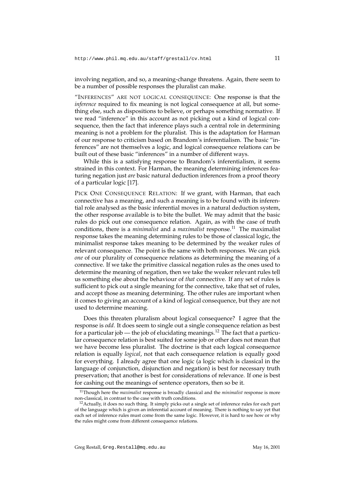involving negation, and so, a meaning-change threatens. Again, there seem to be a number of possible responses the pluralist can make.

"INFERENCES" ARE NOT LOGICAL CONSEQUENCE: One response is that the *inference* required to fix meaning is not logical consequence at all, but something else, such as dispositions to believe, or perhaps something normative. If we read "inference" in this account as not picking out a kind of logical consequence, then the fact that inference plays such a central role in determining meaning is not a problem for the pluralist. This is the adaptation for Harman of our response to criticism based on Brandom's inferentialism. The basic "inferences" are not themselves a logic, and logical consequence relations can be built out of these basic "inferences" in a number of different ways.

While this is a satisfying response to Brandom's inferentialism, it seems strained in this context. For Harman, the meaning determining inferences featuring negation just *are* basic natural deduction inferences from a proof theory of a particular logic [17].

PICK ONE CONSEQUENCE RELATION: If we grant, with Harman, that each connective has a meaning, and such a meaning is to be found with its inferential role analysed as the basic inferential moves in a natural deduction system, the other response available is to bite the bullet. We may admit that the basic rules do pick out one consequence relation. Again, as with the case of truth conditions, there is a *minimalist* and a *maximalist* response.<sup>11</sup> The maximalist response takes the meaning determining rules to be those of classical logic, the minimalist response takes meaning to be determined by the weaker rules of relevant consequence. The point is the same with both responses. We can pick *one* of our plurality of consequence relations as determining the meaning of a connective. If we take the primitive classical negation rules as the ones used to determine the meaning of negation, then we take the weaker relevant rules tell us something else about the behaviour of *that* connective. If any set of rules is sufficient to pick out a single meaning for the connective, take that set of rules, and accept those as meaning determining. The other rules are important when it comes to giving an account of a kind of logical consequence, but they are not used to determine meaning.

Does this threaten pluralism about logical consequence? I agree that the response is *odd*. It does seem to single out a single consequence relation as best for a particular job — the job of elucidating meanings.<sup>12</sup> The fact that a particular consequence relation is best suited for some job or other does not mean that we have become less pluralist. The doctrine is that each logical consequence relation is equally *logical*, not that each consequence relation is equally good for everything. I already agree that one logic (a logic which is classical in the language of conjunction, disjunction and negation) is best for necessary truth preservation; that another is best for considerations of relevance. If one is best for cashing out the meanings of sentence operators, then so be it.

<sup>11</sup>Though here the *maximalist* response is broadly classical and the *minimalist* response is more non-classical, in contrast to the case with truth conditions.

<sup>&</sup>lt;sup>12</sup> Actually, it does no such thing. It simply picks out a single set of inference rules for each part of the language which is given an inferential account of meaning. There is nothing to say yet that each set of inference rules must come from the same logic. However, it is hard to see how or why the rules might come from different consequence relations.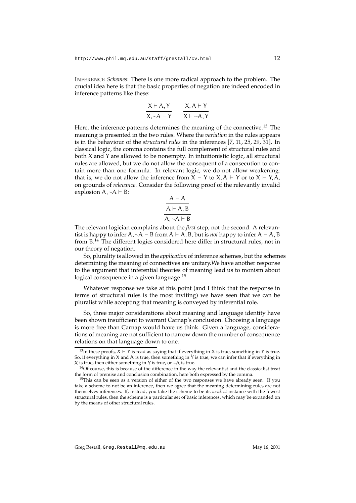INFERENCE *Schemes*: There is one more radical approach to the problem. The crucial idea here is that the basic properties of negation are indeed encoded in inference patterns like these:

$$
\frac{X \vdash A, Y}{X, \sim A \vdash Y} \qquad \frac{X, A \vdash Y}{X \vdash \sim A, Y}
$$

Here, the inference patterns determines the meaning of the connective.<sup>13</sup> The meaning is presented in the two rules. Where the *variation* in the rules appears is in the behaviour of the *structural rules* in the inferences [7, 11, 25, 29, 31]. In classical logic, the comma contains the full complement of structural rules and both X and Y are allowed to be nonempty. In intuitionistic logic, all structural rules are allowed, but we do not allow the consequent of a consecution to contain more than one formula. In relevant logic, we do not allow weakening: that is, we do not allow the inference from  $X \vdash Y$  to  $X, A \vdash Y$  or to  $X \vdash Y, A$ , on grounds of *relevance*. Consider the following proof of the relevantly invalid explosion A, ~A  $\vdash$  B:

$$
A \vdash A
$$
  

$$
\overline{A \vdash A, B}
$$
  

$$
\overline{A, \sim} A \vdash B
$$

The relevant logician complains about the *first* step, not the second. A relevantist is happy to infer A,  $\sim$ A  $\vdash$  B from A  $\vdash$  A, B, but is *not* happy to infer A  $\vdash$  A, B from B.<sup>14</sup> The different logics considered here differ in structural rules, not in our theory of negation.

So, plurality is allowed in the *application* of inference schemes, but the schemes determining the meaning of connectives are unitary.We have another response to the argument that inferential theories of meaning lead us to monism about logical consequence in a given language.<sup>15</sup>

Whatever response we take at this point (and I think that the response in terms of structural rules is the most inviting) we have seen that we can be pluralist while accepting that meaning is conveyed by inferential role.

So, three major considerations about meaning and language identity have been shown insufficient to warrant Carnap's conclusion. Choosing a language is more free than Carnap would have us think. Given a language, considerations of meaning are not sufficient to narrow down the number of consequence relations on that language down to one.

<sup>&</sup>lt;sup>13</sup>In these proofs,  $X \vdash Y$  is read as saying that if everything in X is true, something in Y is true. So, if everything in X and A is true, then something in Y is true, we can infer that if everything in X is true, then either something in Y is true, or  ${\sim} \mathsf{A}$  is true.

<sup>&</sup>lt;sup>14</sup>Of course, this is because of the difference in the way the relevantist and the classicalist treat the form of premise and conclusion combination, here both expressed by the comma.

<sup>&</sup>lt;sup>15</sup>This can be seen as a version of either of the two responses we have already seen. If you take a scheme to not be an inference, then we agree that the meaning determining rules are not themselves inferences. If, instead, you take the scheme to be its *weakest* instance with the fewest structural rules, then the scheme is a particular set of basic inferences, which may be expanded on by the means of other structural rules.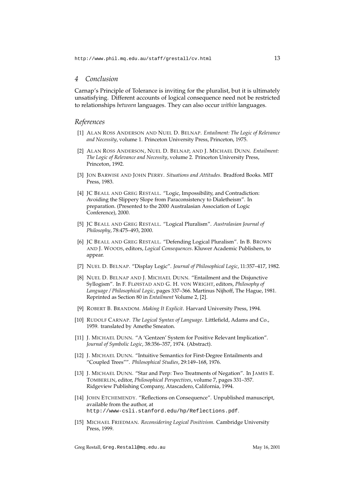# *4 Conclusion*

Carnap's Principle of Tolerance is inviting for the pluralist, but it is ultimately unsatisfying. Different accounts of logical consequence need not be restricted to relationships *between* languages. They can also occur *within* languages.

## *References*

- [1] ALAN ROSS ANDERSON AND NUEL D. BELNAP. *Entailment: The Logic of Relevance and Necessity*, volume 1. Princeton University Press, Princeton, 1975.
- [2] ALAN ROSS ANDERSON, NUEL D. BELNAP, AND J. MICHAEL DUNN. *Entailment: The Logic of Relevance and Necessity*, volume 2. Princeton University Press, Princeton, 1992.
- [3] JON BARWISE AND JOHN PERRY. *Situations and Attitudes*. Bradford Books. MIT Press, 1983.
- [4] JC BEALL AND GREG RESTALL. "Logic, Impossibility, and Contradiction: Avoiding the Slippery Slope from Paraconsistency to Dialetheism". In preparation. (Presented to the 2000 Australasian Association of Logic Conference), 2000.
- [5] JC BEALL AND GREG RESTALL. "Logical Pluralism". *Australasian Journal of Philosophy*, 78:475–493, 2000.
- [6] JC BEALL AND GREG RESTALL. "Defending Logical Pluralism". In B. BROWN AND J. WOODS, editors, *Logical Consequences*. Kluwer Academic Publishers, to appear.
- [7] NUEL D. BELNAP. "Display Logic". *Journal of Philosophical Logic*, 11:357–417, 1982.
- [8] NUEL D. BELNAP AND J. MICHAEL DUNN. "Entailment and the Disjunctive Syllogism". In F. FLØISTAD AND G. H. VON WRIGHT, editors, *Philosophy of Language / Philosophical Logic*, pages 337–366. Martinus Nijhoff, The Hague, 1981. Reprinted as Section 80 in *Entailment* Volume 2, [2].
- [9] ROBERT B. BRANDOM. *Making It Explicit*. Harvard University Press, 1994.
- [10] RUDOLF CARNAP. *The Logical Syntax of Language*. Littlefield, Adams and Co., 1959. translated by Amethe Smeaton.
- [11] J. MICHAEL DUNN. "A 'Gentzen' System for Positive Relevant Implication". *Journal of Symbolic Logic*, 38:356–357, 1974. (Abstract).
- [12] J. MICHAEL DUNN. "Intuitive Semantics for First-Degree Entailments and "Coupled Trees"". *Philosophical Studies*, 29:149–168, 1976.
- [13] J. MICHAEL DUNN. "Star and Perp: Two Treatments of Negation". In JAMES E. TOMBERLIN, editor, *Philosophical Perspectives*, volume 7, pages 331–357. Ridgeview Publishing Company, Atascadero, California, 1994.
- [14] JOHN ETCHEMENDY. "Reflections on Consequence". Unpublished manuscript, available from the author, at http://www-csli.stanford.edu/hp/Reflections.pdf.
- [15] MICHAEL FRIEDMAN. *Reconsidering Logical Positivism*. Cambridge University Press, 1999.

Greg Restall, Greg. Restall@mq.edu.au May 16, 2001